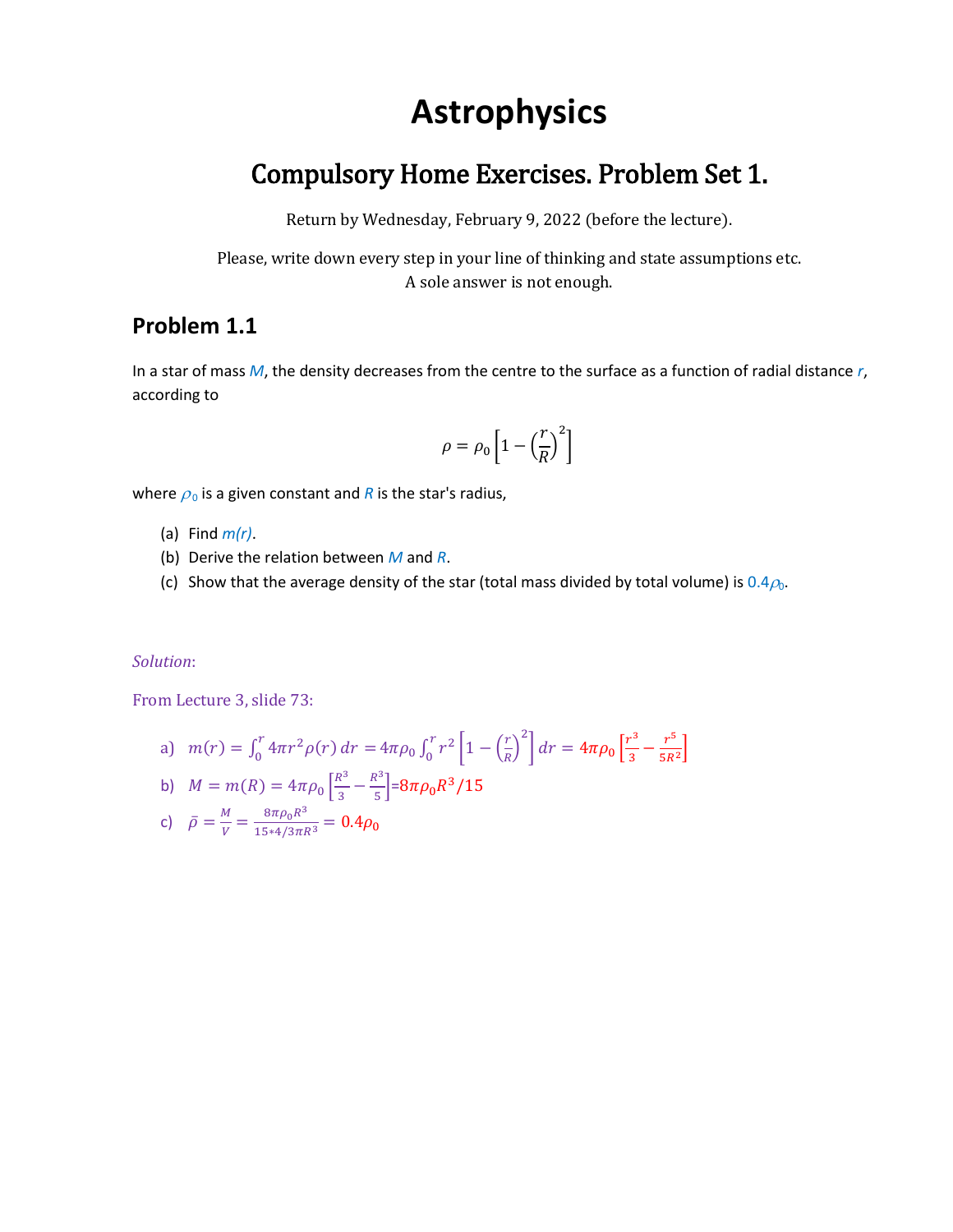# **Astrophysics**

# Compulsory Home Exercises. Problem Set 1.

Return by Wednesday, February 9, 2022 (before the lecture).

Please, write down every step in your line of thinking and state assumptions etc. A sole answer is not enough.

# **Problem 1.1**

In a star of mass *M*, the density decreases from the centre to the surface as a function of radial distance *r*, according to

$$
\rho = \rho_0 \left[ 1 - \left( \frac{r}{R} \right)^2 \right]
$$

where  $\rho_0$  is a given constant and *R* is the star's radius,

- (a) Find *m(r)*.
- (b) Derive the relation between *M* and *R*.
- (c) Show that the average density of the star (total mass divided by total volume) is  $0.4\rho_0$ .

#### *Solution*:

From Lecture 3, slide 73:

a) 
$$
m(r) = \int_0^r 4\pi r^2 \rho(r) dr = 4\pi \rho_0 \int_0^r r^2 \left[ 1 - \left(\frac{r}{R}\right)^2 \right] dr = 4\pi \rho_0 \left[ \frac{r^3}{3} - \frac{r^5}{5R^2} \right]
$$
  
b)  $M = m(R) = 4\pi \rho_0 \left[ \frac{R^3}{3} - \frac{R^3}{5} \right] = 8\pi \rho_0 R^3 / 15$ 

c) 
$$
\bar{\rho} = \frac{M}{V} = \frac{8\pi\rho_0 R^3}{15*4/3\pi R^3} = 0.4\rho_0
$$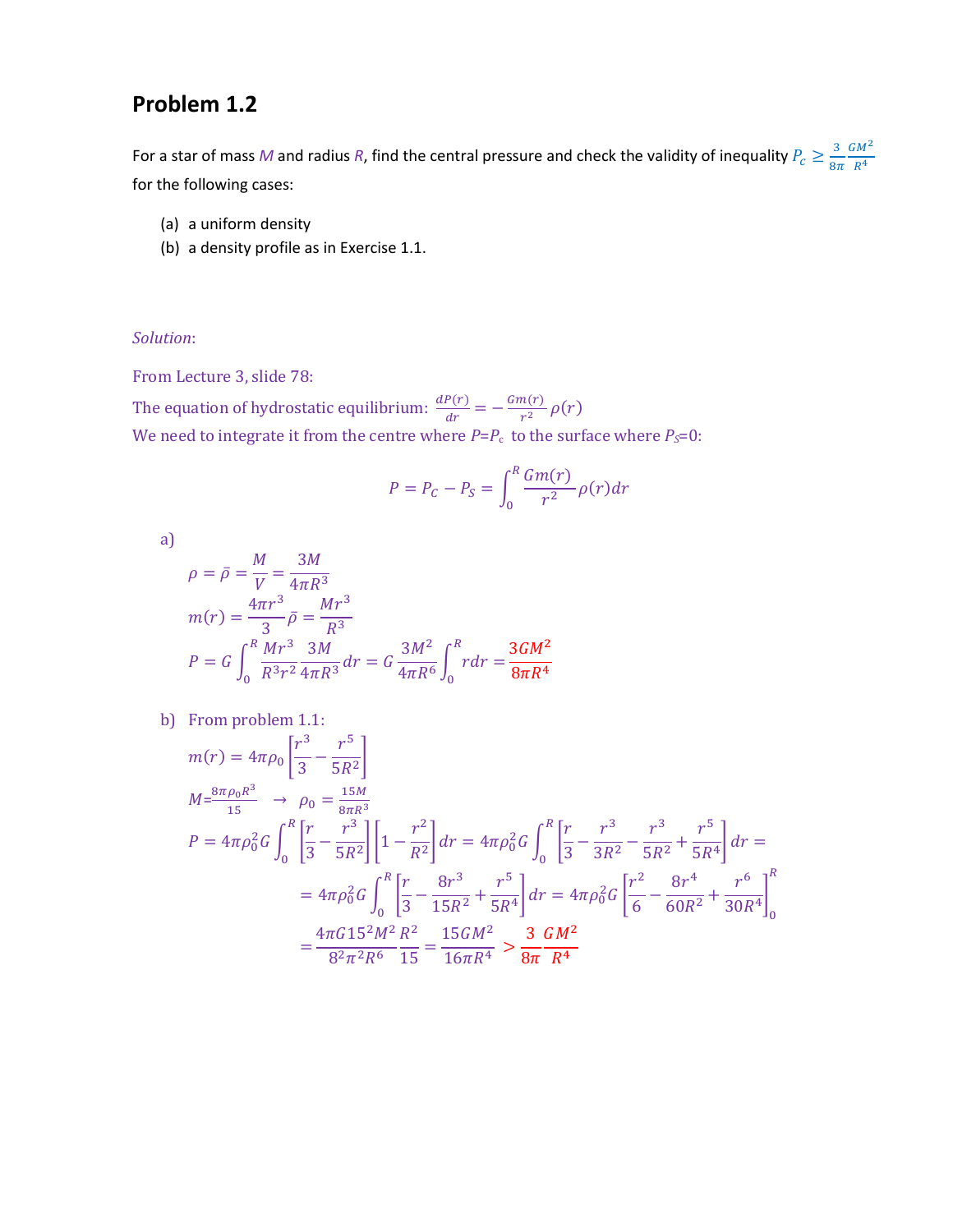# **Problem 1.2**

For a star of mass M and radius R, find the central pressure and check the validity of inequality  $P_c \geq \frac{3}{8\pi}$  $8\pi$  $GM<sup>2</sup>$  $R^4$ for the following cases:

- (a) a uniform density
- (b) a density profile as in Exercise 1.1.

#### *Solution*:

From Lecture 3, slide 78:

The equation of hydrostatic equilibrium:  $\frac{dP(r)}{dr}$  $\frac{P(r)}{dr} = -\frac{Gm(r)}{r^2}$  $\frac{n(r)}{r^2} \rho(r)$ We need to integrate it from the centre where  $P = P_c$  to the surface where  $P_s = 0$ :

$$
P = P_C - P_S = \int_0^R \frac{Gm(r)}{r^2} \rho(r) dr
$$

a)

$$
\rho = \bar{\rho} = \frac{M}{V} = \frac{3M}{4\pi R^3}
$$
  
\n
$$
m(r) = \frac{4\pi r^3}{3} \bar{\rho} = \frac{Mr^3}{R^3}
$$
  
\n
$$
P = G \int_0^R \frac{Mr^3}{R^3 r^2} \frac{3M}{4\pi R^3} dr = G \frac{3M^2}{4\pi R^6} \int_0^R r dr = \frac{3GM^2}{8\pi R^4}
$$

b) From problem 1.1:

$$
m(r) = 4\pi \rho_0 \left[ \frac{r^3}{3} - \frac{r^5}{5R^2} \right]
$$
  
\n
$$
M = \frac{8\pi \rho_0 R^3}{15} \rightarrow \rho_0 = \frac{15M}{8\pi R^3}
$$
  
\n
$$
P = 4\pi \rho_0^2 G \int_0^R \left[ \frac{r}{3} - \frac{r^3}{5R^2} \right] \left[ 1 - \frac{r^2}{R^2} \right] dr = 4\pi \rho_0^2 G \int_0^R \left[ \frac{r}{3} - \frac{r^3}{3R^2} - \frac{r^3}{5R^2} + \frac{r^5}{5R^4} \right] dr =
$$
  
\n
$$
= 4\pi \rho_0^2 G \int_0^R \left[ \frac{r}{3} - \frac{8r^3}{15R^2} + \frac{r^5}{5R^4} \right] dr = 4\pi \rho_0^2 G \left[ \frac{r^2}{6} - \frac{8r^4}{60R^2} + \frac{r^6}{30R^4} \right]_0^R
$$
  
\n
$$
= \frac{4\pi G 15^2 M^2 R^2}{8^2 \pi^2 R^6} \frac{R^2}{15} = \frac{15GM^2}{16\pi R^4} > \frac{3}{8\pi} \frac{GM^2}{R^4}
$$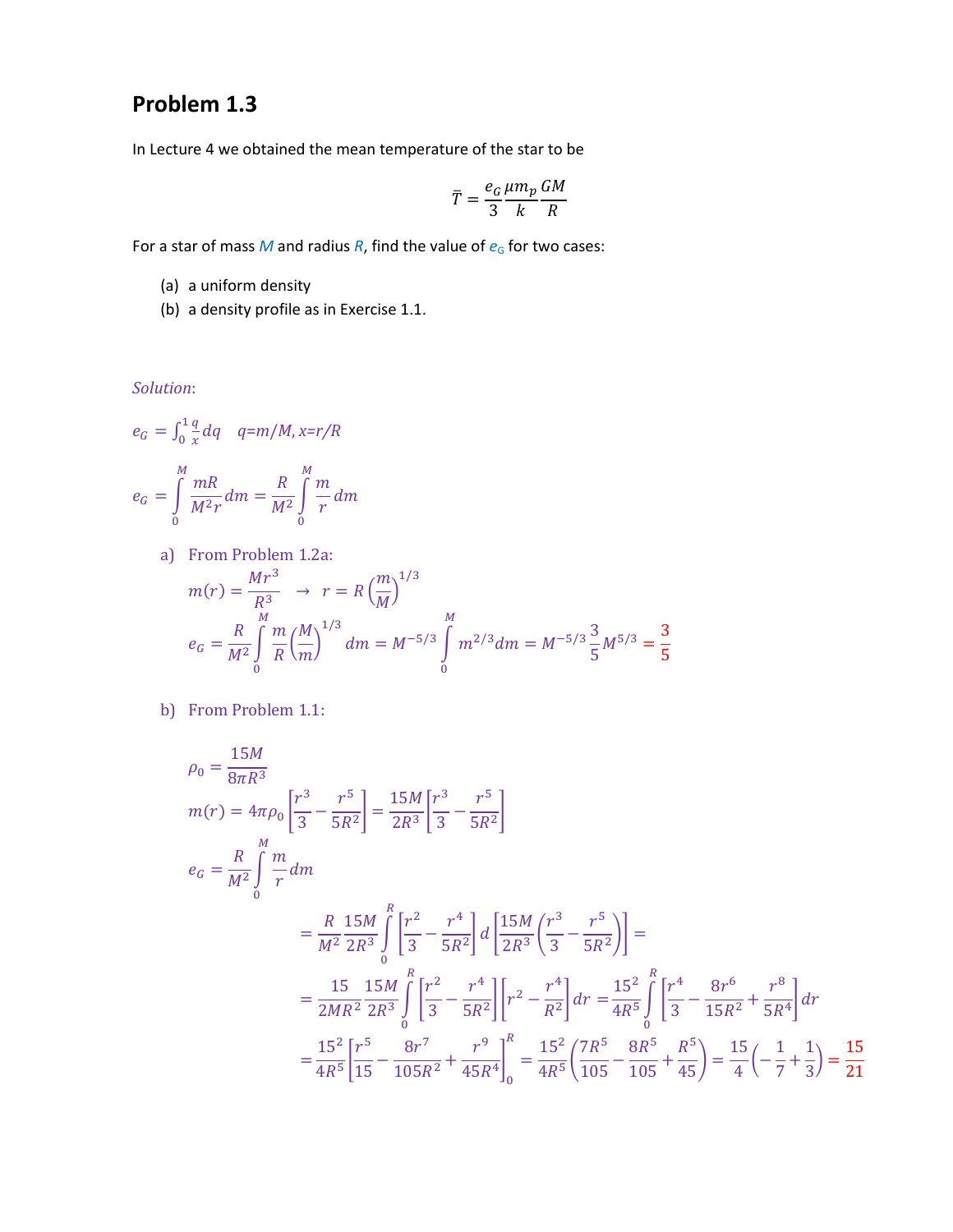# **Problem 1.3**

In Lecture 4 we obtained the mean temperature of the star to be

$$
\bar{T} = \frac{e_G}{3} \frac{\mu m_p}{k} \frac{GM}{R}
$$

For a star of mass  $M$  and radius  $R$ , find the value of  $e_G$  for two cases:

- (a) a uniform density
- (b) a density profile as in Exercise 1.1.

*Solution*:

$$
e_G = \int_0^1 \frac{q}{x} dq \quad q=m/M, x=r/R
$$

$$
e_G = \int_0^M \frac{mR}{M^2r} dm = \frac{R}{M^2} \int_0^M \frac{m}{r} dm
$$

a) From Problem 1.2a:

$$
m(r) = \frac{Mr^3}{R^3} \rightarrow r = R \left(\frac{m}{M}\right)^{1/3}
$$
  

$$
e_G = \frac{R}{M^2} \int_0^M \frac{m}{R} \left(\frac{M}{m}\right)^{1/3} dm = M^{-5/3} \int_0^M m^{2/3} dm = M^{-5/3} \frac{3}{5} M^{5/3} = \frac{3}{5}
$$

b) From Problem 1.1:

$$
\rho_0 = \frac{15M}{8\pi R^3}
$$
  
\n
$$
m(r) = 4\pi \rho_0 \left[ \frac{r^3}{3} - \frac{r^5}{5R^2} \right] = \frac{15M}{2R^3} \left[ \frac{r^3}{3} - \frac{r^5}{5R^2} \right]
$$
  
\n
$$
e_G = \frac{R}{M^2} \int_0^M \frac{m}{r} dm
$$
  
\n
$$
= \frac{R}{M^2} \frac{15M}{2R^3} \int_0^R \left[ \frac{r^2}{3} - \frac{r^4}{5R^2} \right] d \left[ \frac{15M}{2R^3} \left( \frac{r^3}{3} - \frac{r^5}{5R^2} \right) \right] =
$$
  
\n
$$
= \frac{15}{2MR^2} \frac{15M}{2R^3} \int_0^R \left[ \frac{r^2}{3} - \frac{r^4}{5R^2} \right] \left[ r^2 - \frac{r^4}{R^2} \right] dr = \frac{15^2}{4R^5} \int_0^R \left[ \frac{r^4}{3} - \frac{8r^6}{15R^2} + \frac{r^8}{5R^4} \right] dr
$$
  
\n
$$
= \frac{15^2}{4R^5} \left[ \frac{r^5}{15} - \frac{8r^7}{105R^2} + \frac{r^9}{45R^4} \right]_0^R = \frac{15^2}{4R^5} \left( \frac{7R^5}{105} - \frac{8R^5}{105} + \frac{R^5}{45} \right) = \frac{15}{4} \left( -\frac{1}{7} + \frac{1}{3} \right) = \frac{15}{21}
$$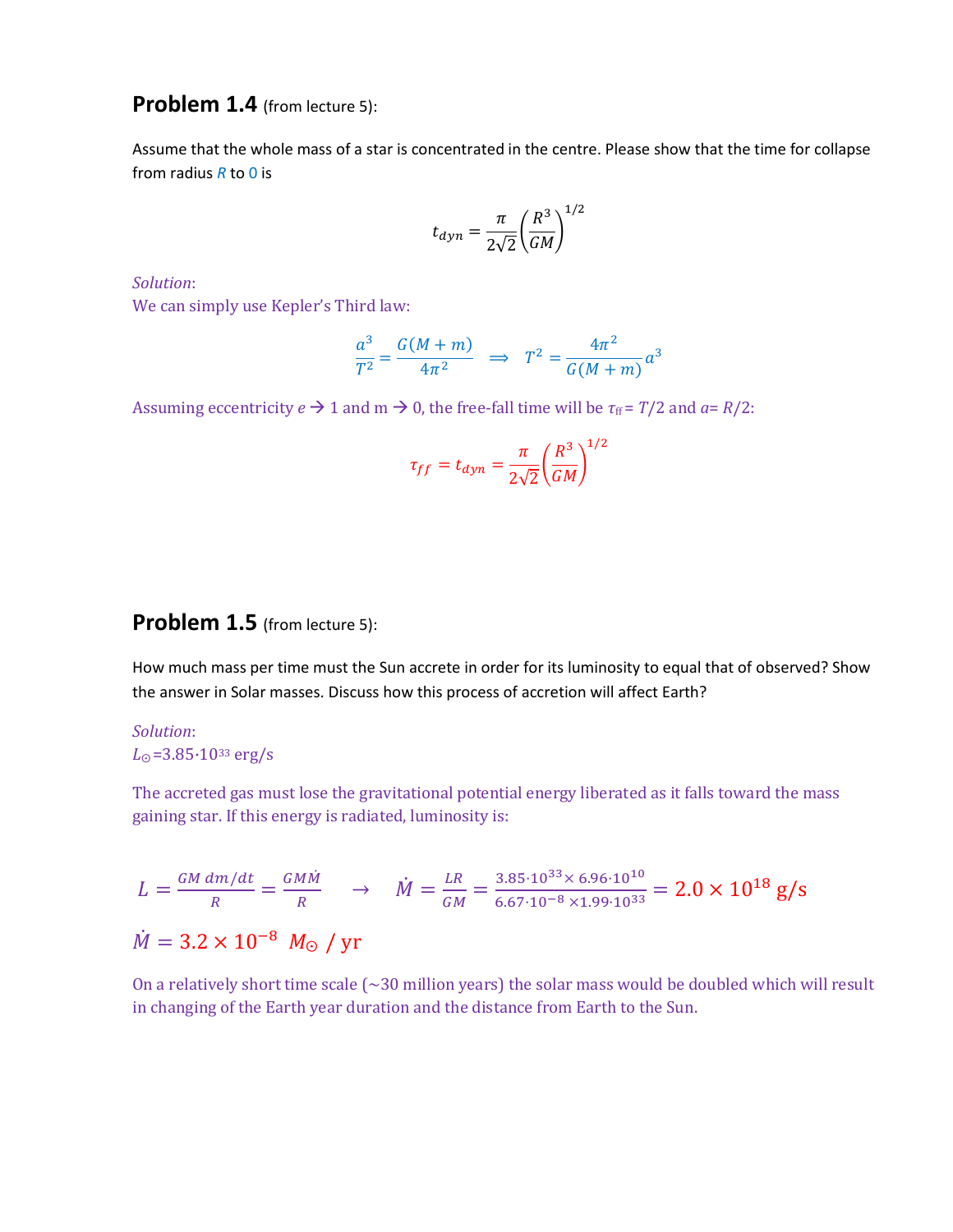## **Problem 1.4** (from lecture 5):

Assume that the whole mass of a star is concentrated in the centre. Please show that the time for collapse from radius *R* to 0 is

$$
t_{dyn} = \frac{\pi}{2\sqrt{2}} \left(\frac{R^3}{GM}\right)^{1/2}
$$

*Solution*:

We can simply use Kepler's Third law:

$$
\frac{a^3}{T^2} = \frac{G(M+m)}{4\pi^2} \Rightarrow T^2 = \frac{4\pi^2}{G(M+m)}a^3
$$

Assuming eccentricity  $e \rightarrow 1$  and  $m \rightarrow 0$ , the free-fall time will be  $\tau_{ff} = T/2$  and  $a = R/2$ :

$$
\tau_{ff} = t_{dyn} = \frac{\pi}{2\sqrt{2}} \left(\frac{R^3}{GM}\right)^{1/2}
$$

### **Problem 1.5** (from lecture 5):

How much mass per time must the Sun accrete in order for its luminosity to equal that of observed? Show the answer in Solar masses. Discuss how this process of accretion will affect Earth?

#### *Solution*: *L*<sup>⨀</sup> =3.85·10<sup>33</sup> erg/s

The accreted gas must lose the gravitational potential energy liberated as it falls toward the mass gaining star. If this energy is radiated, luminosity is:

$$
L = \frac{GM \, dm/dt}{R} = \frac{GM\dot{M}}{R} \rightarrow \dot{M} = \frac{LR}{GM} = \frac{3.85 \cdot 10^{33} \times 6.96 \cdot 10^{10}}{6.67 \cdot 10^{-8} \times 1.99 \cdot 10^{33}} = 2.0 \times 10^{18} \, \text{g/s}
$$
\n
$$
\dot{M} = 3.2 \times 10^{-8} \, M_{\odot} \, \text{/ yr}
$$

On a relatively short time scale (~30 million years) the solar mass would be doubled which will result in changing of the Earth year duration and the distance from Earth to the Sun.